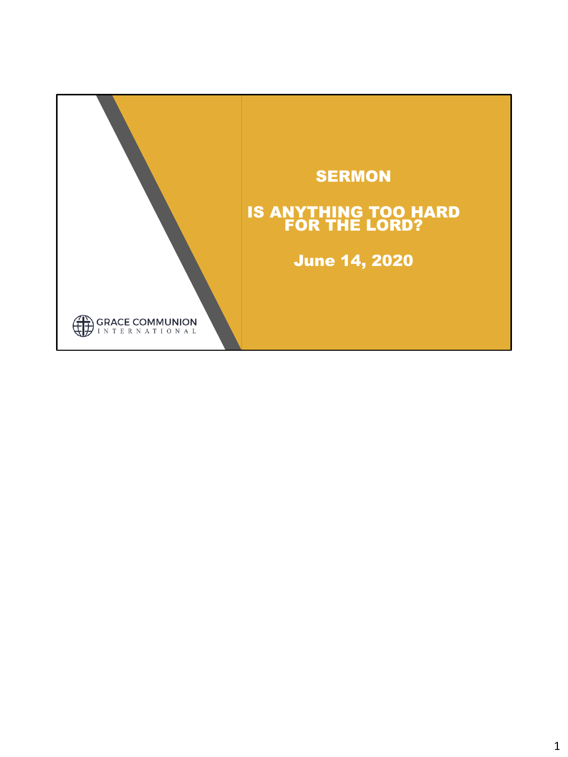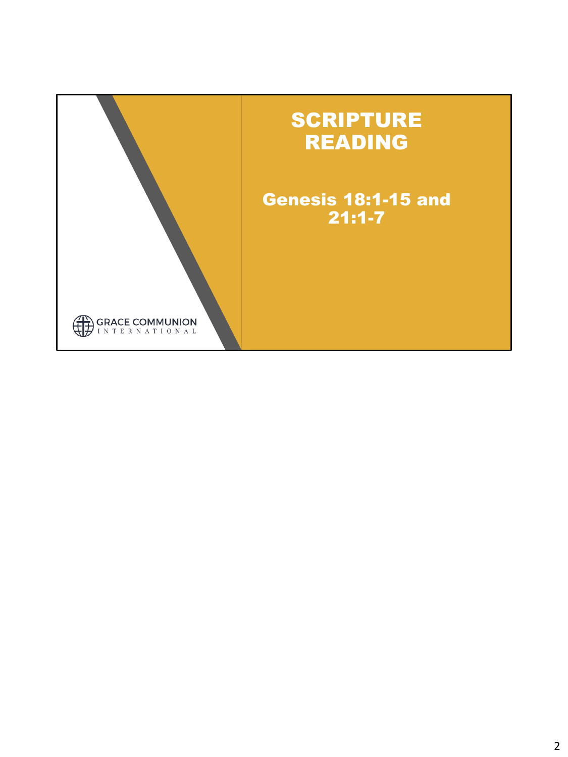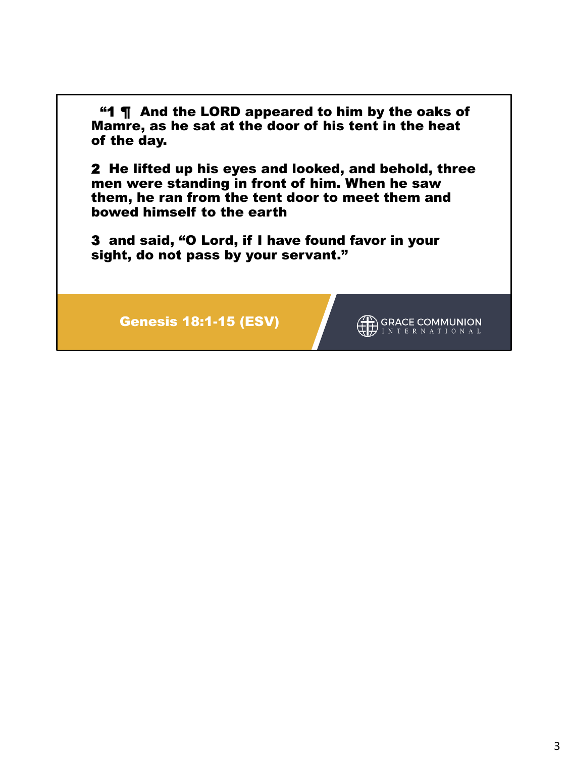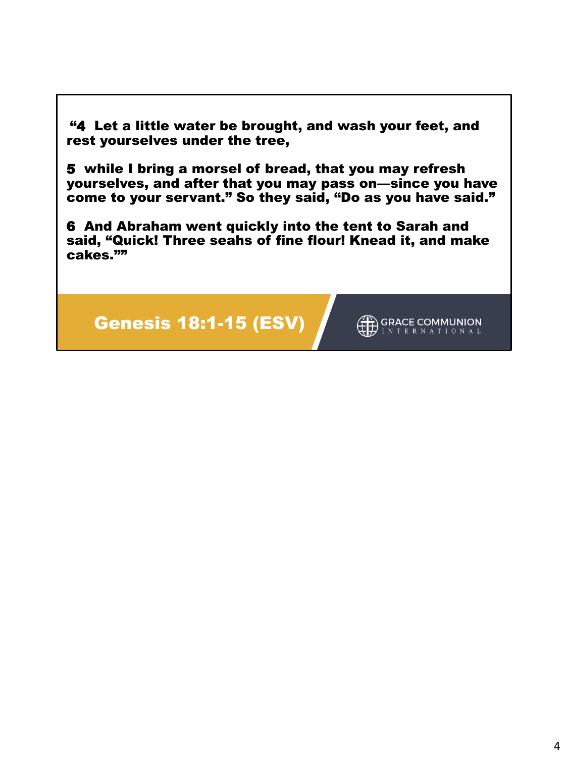"4 Let a little water be brought, and wash your feet, and rest yourselves under the tree,

5 while I bring a morsel of bread, that you may refresh yourselves, and after that you may pass on—since you have come to your servant." So they said, "Do as you have said."

6 And Abraham went quickly into the tent to Sarah and said, "Quick! Three seahs of fine flour! Knead it, and make cakes.""



GRACE COMMUNION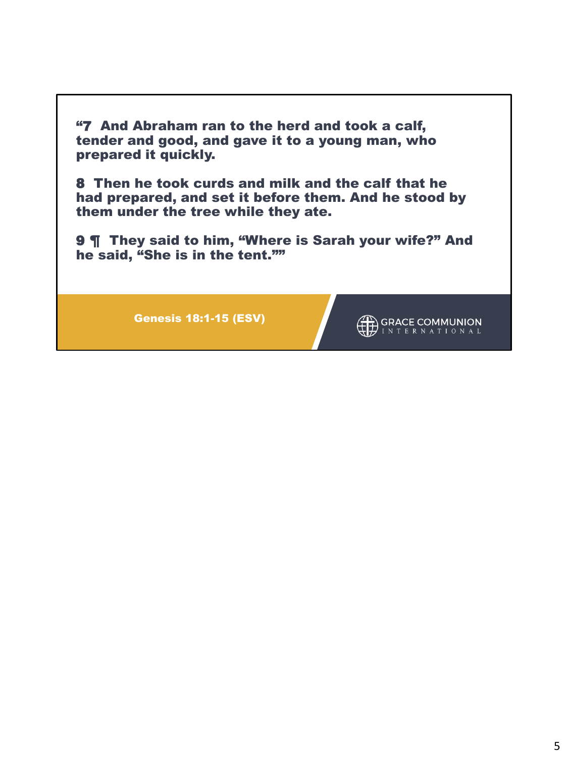"7 And Abraham ran to the herd and took a calf, tender and good, and gave it to a young man, who prepared it quickly.

8 Then he took curds and milk and the calf that he had prepared, and set it before them. And he stood by them under the tree while they ate.

9  $\P$  They said to him, "Where is Sarah your wife?" And he said, "She is in the tent.""

Genesis 18:1-15 (ESV)

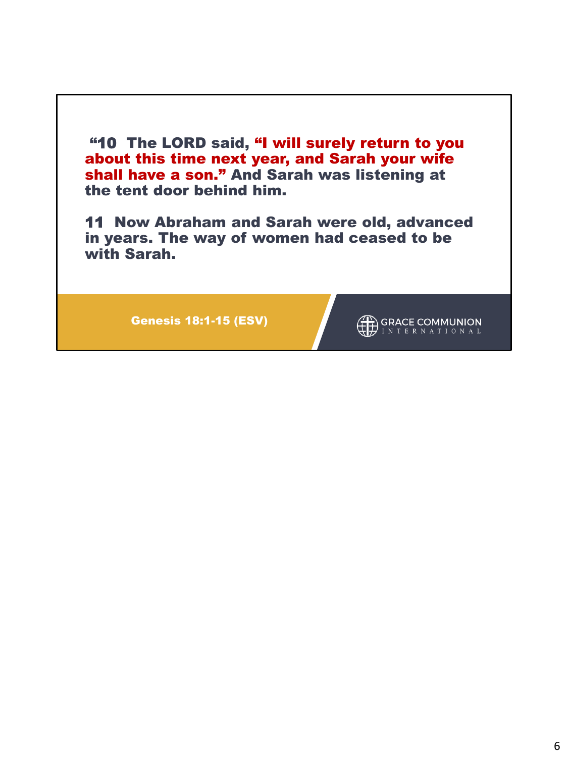"10 The LORD said, "I will surely return to you about this time next year, and Sarah your wife shall have a son." And Sarah was listening at the tent door behind him.

11 Now Abraham and Sarah were old, advanced in years. The way of women had ceased to be with Sarah.

Genesis 18:1-15 (ESV)

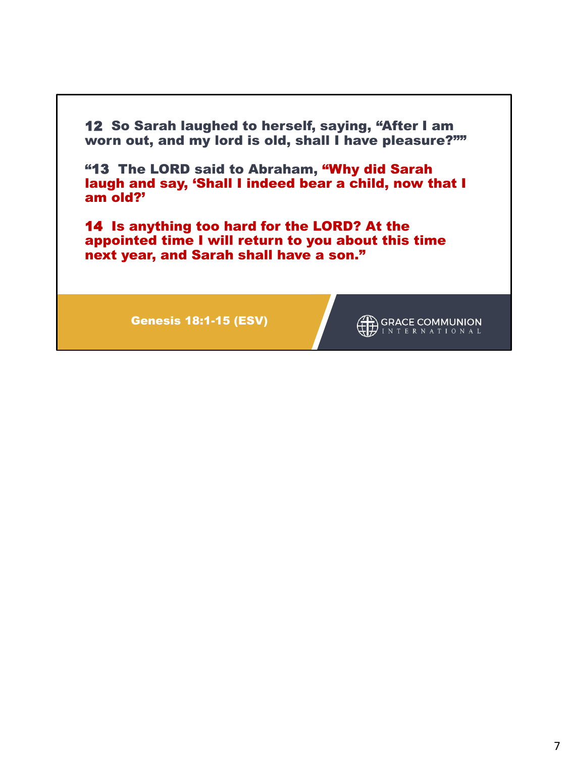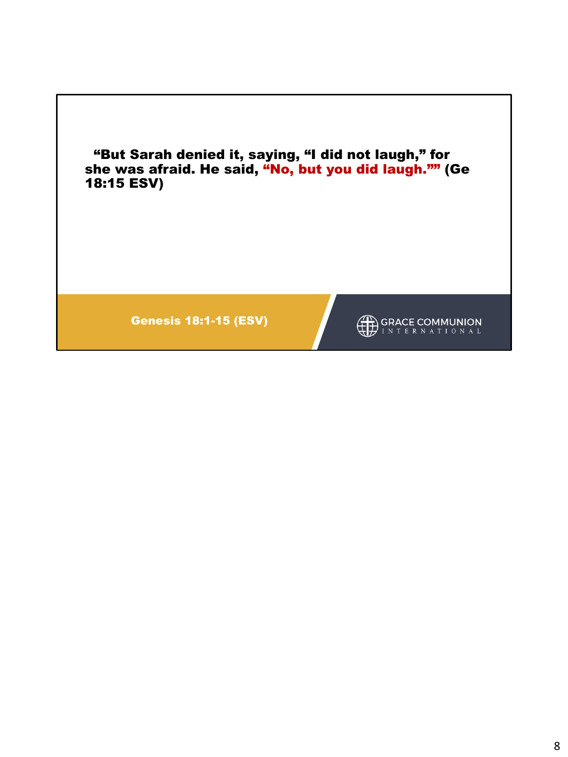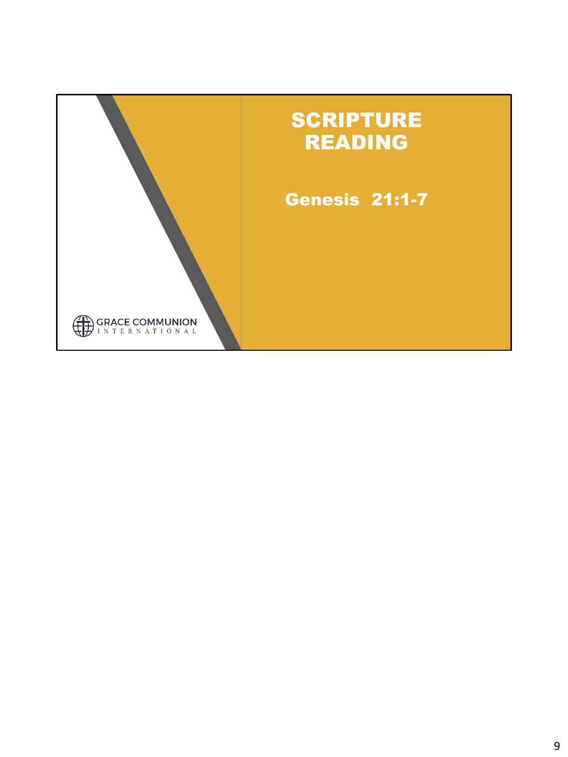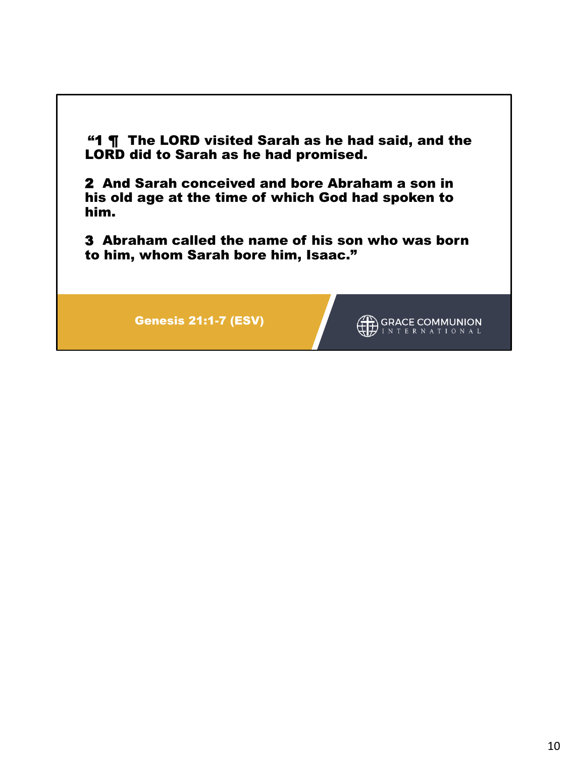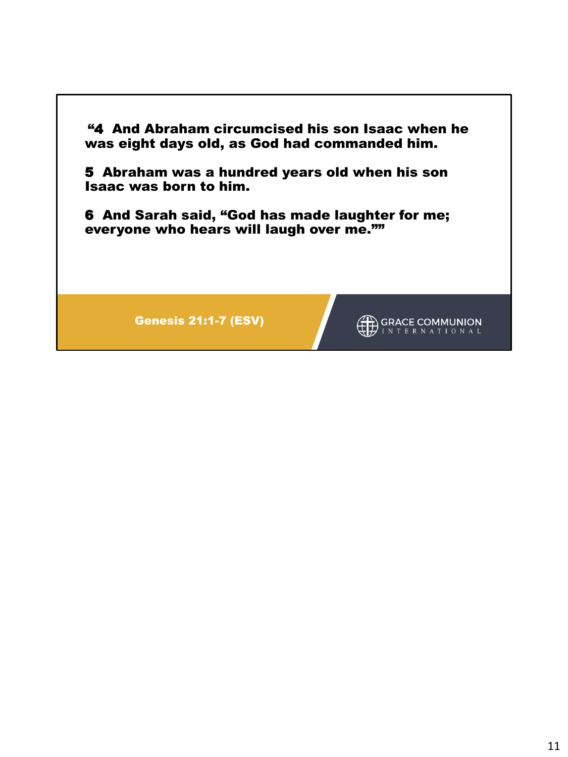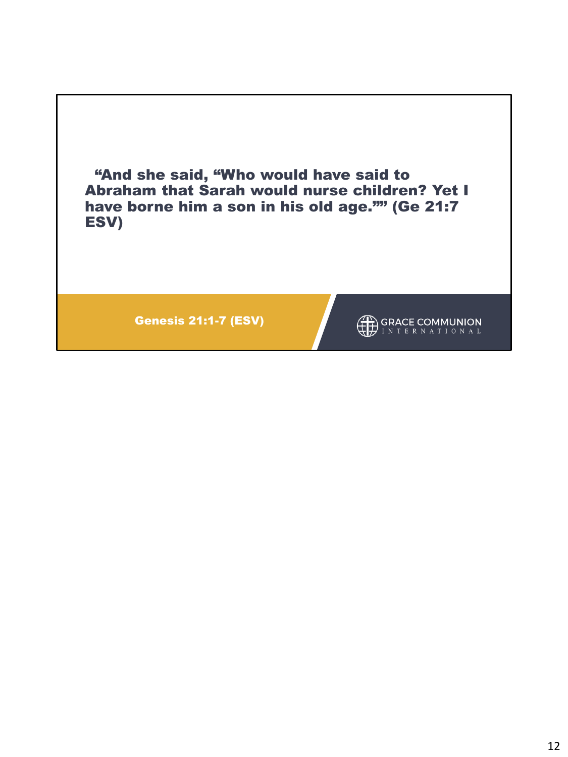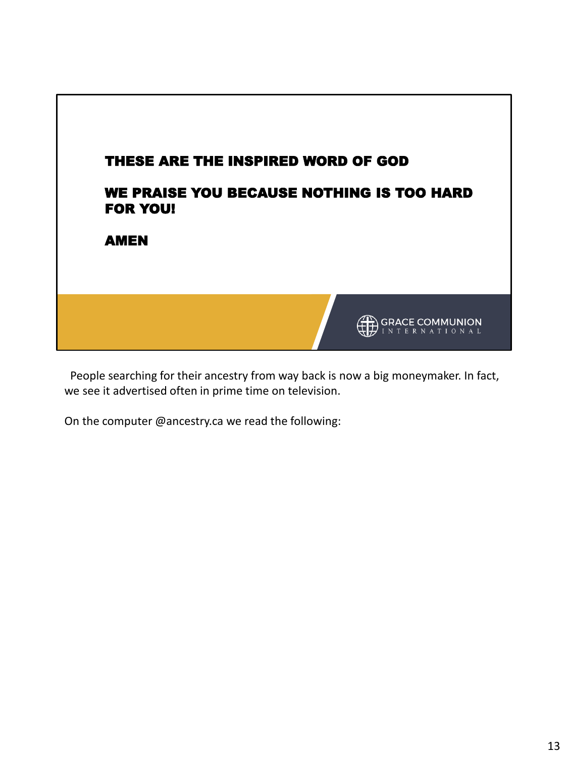

People searching for their ancestry from way back is now a big moneymaker. In fact, we see it advertised often in prime time on television.

On the computer @ancestry.ca we read the following: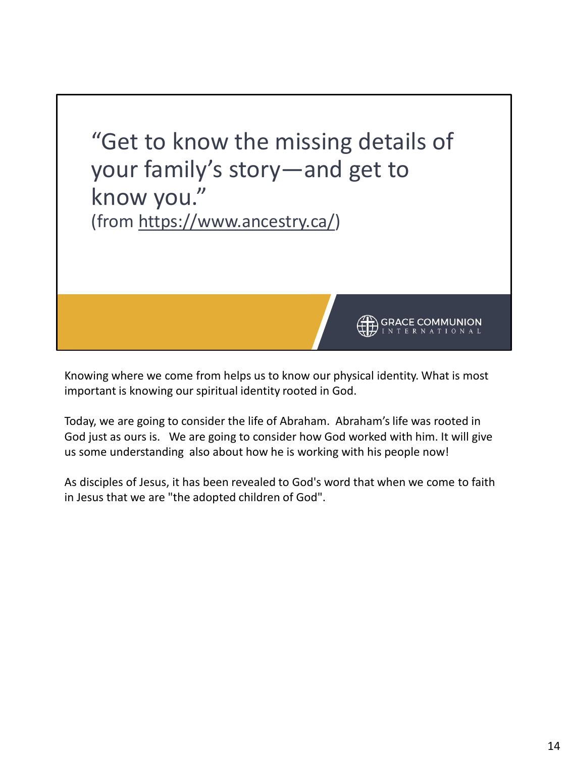

Knowing where we come from helps us to know our physical identity. What is most important is knowing our spiritual identity rooted in God.

Today, we are going to consider the life of Abraham. Abraham's life was rooted in God just as ours is. We are going to consider how God worked with him. It will give us some understanding also about how he is working with his people now!

As disciples of Jesus, it has been revealed to God's word that when we come to faith in Jesus that we are "the adopted children of God".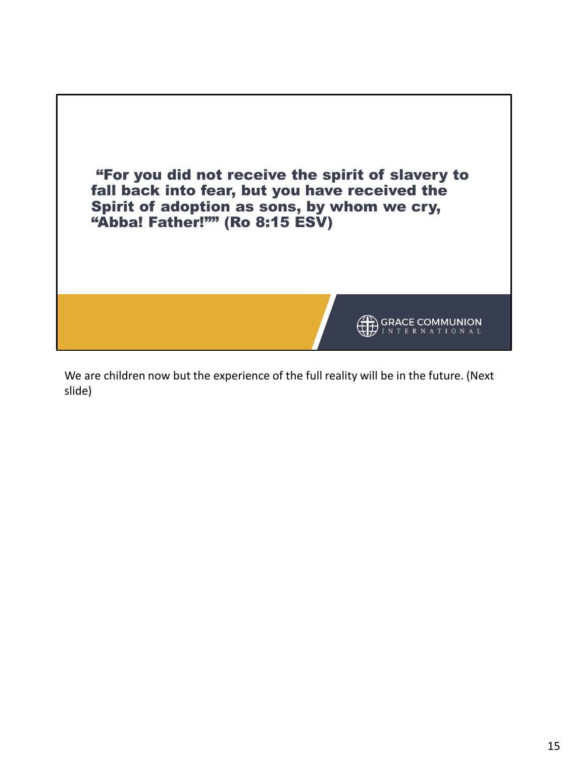

We are children now but the experience of the full reality will be in the future. (Next slide)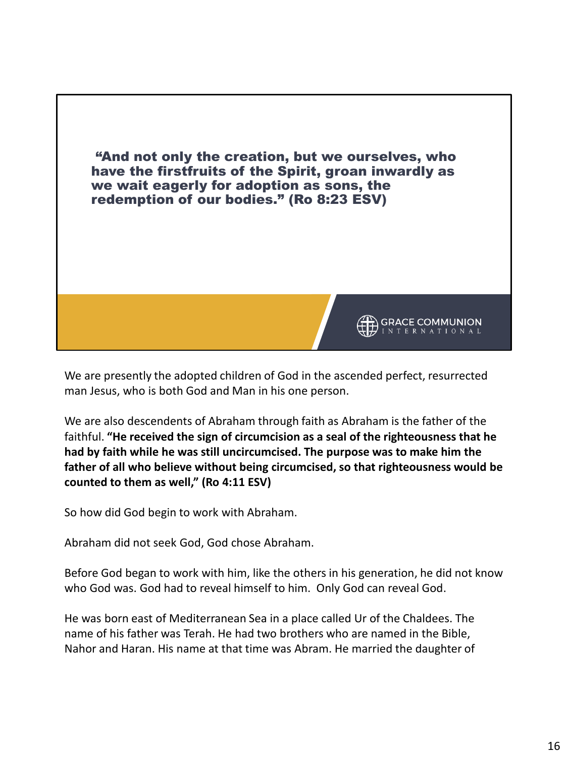

We are presently the adopted children of God in the ascended perfect, resurrected man Jesus, who is both God and Man in his one person.

We are also descendents of Abraham through faith as Abraham is the father of the faithful. **"He received the sign of circumcision as a seal of the righteousness that he had by faith while he was still uncircumcised. The purpose was to make him the father of all who believe without being circumcised, so that righteousness would be counted to them as well," (Ro 4:11 ESV)**

So how did God begin to work with Abraham.

Abraham did not seek God, God chose Abraham.

Before God began to work with him, like the others in his generation, he did not know who God was. God had to reveal himself to him. Only God can reveal God.

He was born east of Mediterranean Sea in a place called Ur of the Chaldees. The name of his father was Terah. He had two brothers who are named in the Bible, Nahor and Haran. His name at that time was Abram. He married the daughter of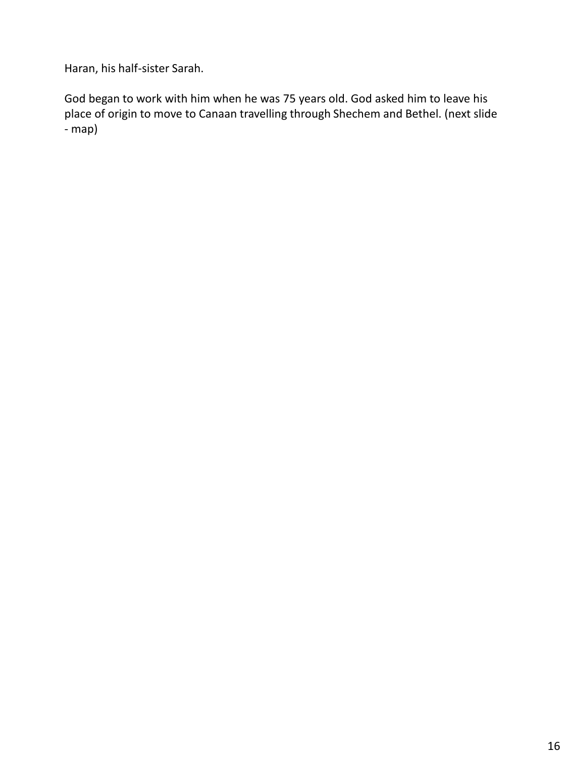Haran, his half-sister Sarah.

God began to work with him when he was 75 years old. God asked him to leave his place of origin to move to Canaan travelling through Shechem and Bethel. (next slide - map)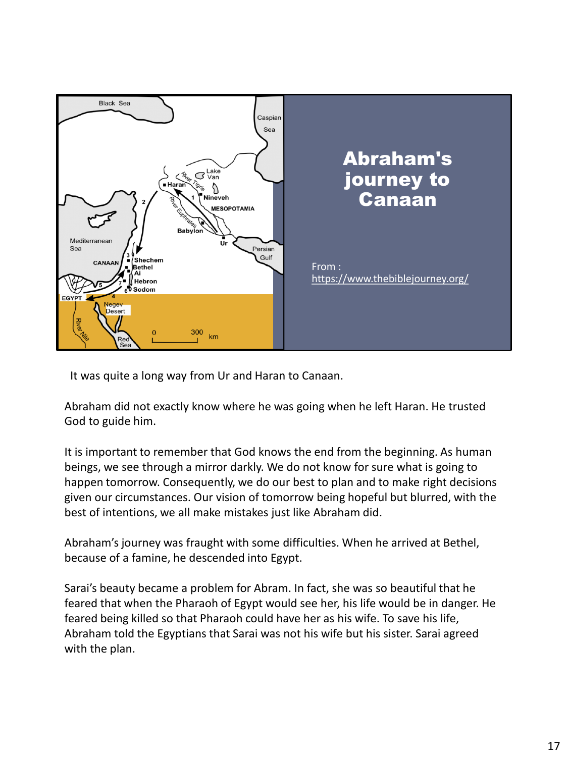

It was quite a long way from Ur and Haran to Canaan.

Abraham did not exactly know where he was going when he left Haran. He trusted God to guide him.

It is important to remember that God knows the end from the beginning. As human beings, we see through a mirror darkly. We do not know for sure what is going to happen tomorrow. Consequently, we do our best to plan and to make right decisions given our circumstances. Our vision of tomorrow being hopeful but blurred, with the best of intentions, we all make mistakes just like Abraham did.

Abraham's journey was fraught with some difficulties. When he arrived at Bethel, because of a famine, he descended into Egypt.

Sarai's beauty became a problem for Abram. In fact, she was so beautiful that he feared that when the Pharaoh of Egypt would see her, his life would be in danger. He feared being killed so that Pharaoh could have her as his wife. To save his life, Abraham told the Egyptians that Sarai was not his wife but his sister. Sarai agreed with the plan.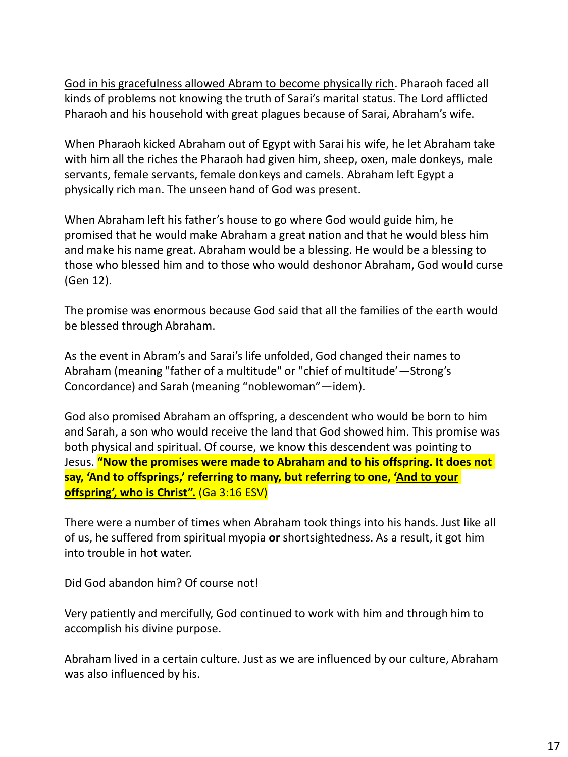God in his gracefulness allowed Abram to become physically rich. Pharaoh faced all kinds of problems not knowing the truth of Sarai's marital status. The Lord afflicted Pharaoh and his household with great plagues because of Sarai, Abraham's wife.

When Pharaoh kicked Abraham out of Egypt with Sarai his wife, he let Abraham take with him all the riches the Pharaoh had given him, sheep, oxen, male donkeys, male servants, female servants, female donkeys and camels. Abraham left Egypt a physically rich man. The unseen hand of God was present.

When Abraham left his father's house to go where God would guide him, he promised that he would make Abraham a great nation and that he would bless him and make his name great. Abraham would be a blessing. He would be a blessing to those who blessed him and to those who would deshonor Abraham, God would curse (Gen 12).

The promise was enormous because God said that all the families of the earth would be blessed through Abraham.

As the event in Abram's and Sarai's life unfolded, God changed their names to Abraham (meaning "father of a multitude" or "chief of multitude'—Strong's Concordance) and Sarah (meaning "noblewoman"—idem).

God also promised Abraham an offspring, a descendent who would be born to him and Sarah, a son who would receive the land that God showed him. This promise was both physical and spiritual. Of course, we know this descendent was pointing to Jesus. **"Now the promises were made to Abraham and to his offspring. It does not say, 'And to offsprings,' referring to many, but referring to one, 'And to your offspring', who is Christ".** (Ga 3:16 ESV)

There were a number of times when Abraham took things into his hands. Just like all of us, he suffered from spiritual myopia **or** shortsightedness. As a result, it got him into trouble in hot water.

Did God abandon him? Of course not!

Very patiently and mercifully, God continued to work with him and through him to accomplish his divine purpose.

Abraham lived in a certain culture. Just as we are influenced by our culture, Abraham was also influenced by his.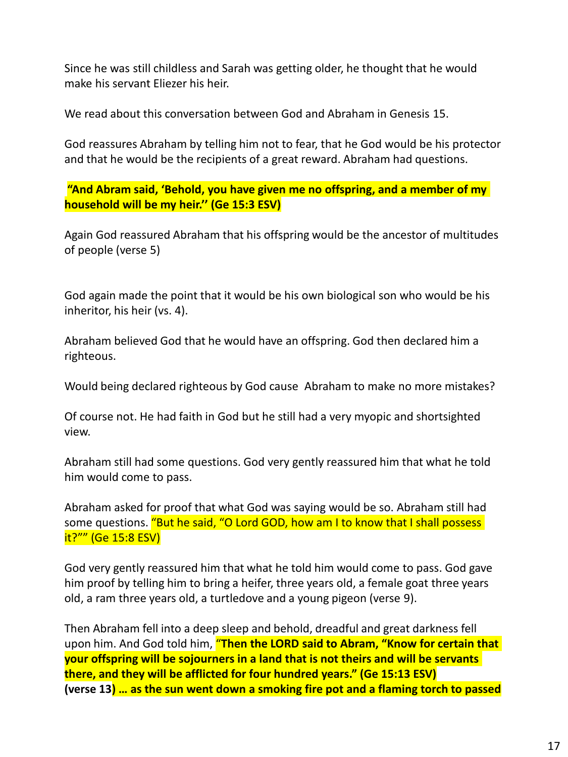Since he was still childless and Sarah was getting older, he thought that he would make his servant Eliezer his heir.

We read about this conversation between God and Abraham in Genesis 15.

God reassures Abraham by telling him not to fear, that he God would be his protector and that he would be the recipients of a great reward. Abraham had questions.

**"And Abram said, 'Behold, you have given me no offspring, and a member of my household will be my heir.'' (Ge 15:3 ESV)**

Again God reassured Abraham that his offspring would be the ancestor of multitudes of people (verse 5)

God again made the point that it would be his own biological son who would be his inheritor, his heir (vs. 4).

Abraham believed God that he would have an offspring. God then declared him a righteous.

Would being declared righteous by God cause Abraham to make no more mistakes?

Of course not. He had faith in God but he still had a very myopic and shortsighted view.

Abraham still had some questions. God very gently reassured him that what he told him would come to pass.

Abraham asked for proof that what God was saying would be so. Abraham still had some questions. "But he said, "O Lord GOD, how am I to know that I shall possess it?"" (Ge 15:8 ESV)

God very gently reassured him that what he told him would come to pass. God gave him proof by telling him to bring a heifer, three years old, a female goat three years old, a ram three years old, a turtledove and a young pigeon (verse 9).

Then Abraham fell into a deep sleep and behold, dreadful and great darkness fell upon him. And God told him, "**Then the LORD said to Abram, "Know for certain that your offspring will be sojourners in a land that is not theirs and will be servants there, and they will be afflicted for four hundred years." (Ge 15:13 ESV) (verse 13) … as the sun went down a smoking fire pot and a flaming torch to passed**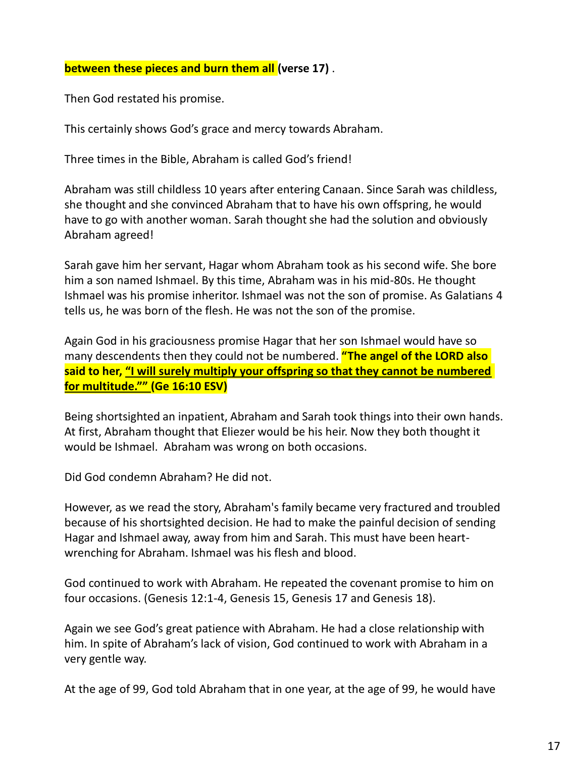## **between these pieces and burn them all (verse 17)** .

Then God restated his promise.

This certainly shows God's grace and mercy towards Abraham.

Three times in the Bible, Abraham is called God's friend!

Abraham was still childless 10 years after entering Canaan. Since Sarah was childless, she thought and she convinced Abraham that to have his own offspring, he would have to go with another woman. Sarah thought she had the solution and obviously Abraham agreed!

Sarah gave him her servant, Hagar whom Abraham took as his second wife. She bore him a son named Ishmael. By this time, Abraham was in his mid-80s. He thought Ishmael was his promise inheritor. Ishmael was not the son of promise. As Galatians 4 tells us, he was born of the flesh. He was not the son of the promise.

Again God in his graciousness promise Hagar that her son Ishmael would have so many descendents then they could not be numbered. **"The angel of the LORD also said to her, "I will surely multiply your offspring so that they cannot be numbered for multitude."" (Ge 16:10 ESV)**

Being shortsighted an inpatient, Abraham and Sarah took things into their own hands. At first, Abraham thought that Eliezer would be his heir. Now they both thought it would be Ishmael. Abraham was wrong on both occasions.

Did God condemn Abraham? He did not.

However, as we read the story, Abraham's family became very fractured and troubled because of his shortsighted decision. He had to make the painful decision of sending Hagar and Ishmael away, away from him and Sarah. This must have been heartwrenching for Abraham. Ishmael was his flesh and blood.

God continued to work with Abraham. He repeated the covenant promise to him on four occasions. (Genesis 12:1-4, Genesis 15, Genesis 17 and Genesis 18).

Again we see God's great patience with Abraham. He had a close relationship with him. In spite of Abraham's lack of vision, God continued to work with Abraham in a very gentle way.

At the age of 99, God told Abraham that in one year, at the age of 99, he would have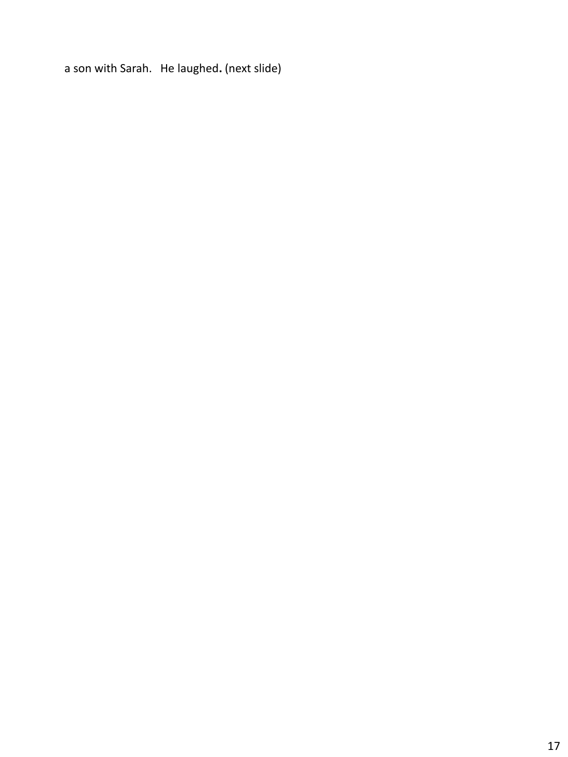a son with Sarah. He laughed**.** (next slide)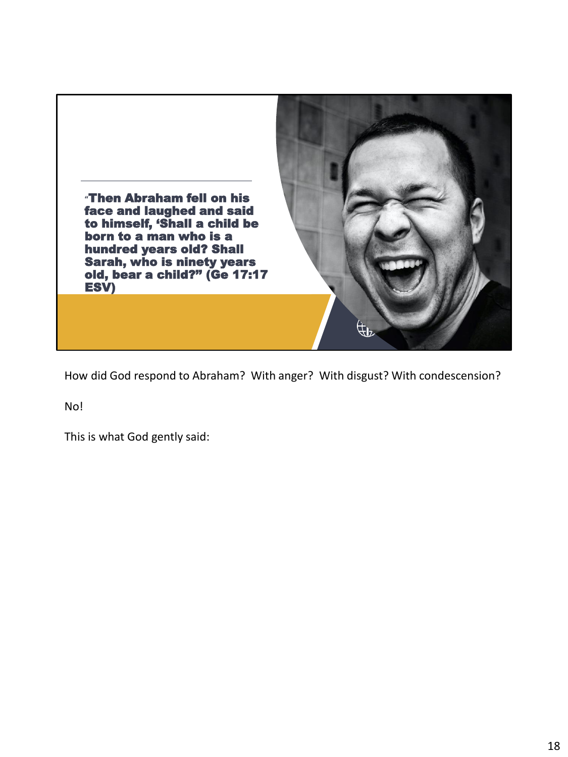

How did God respond to Abraham? With anger? With disgust? With condescension?

No!

This is what God gently said: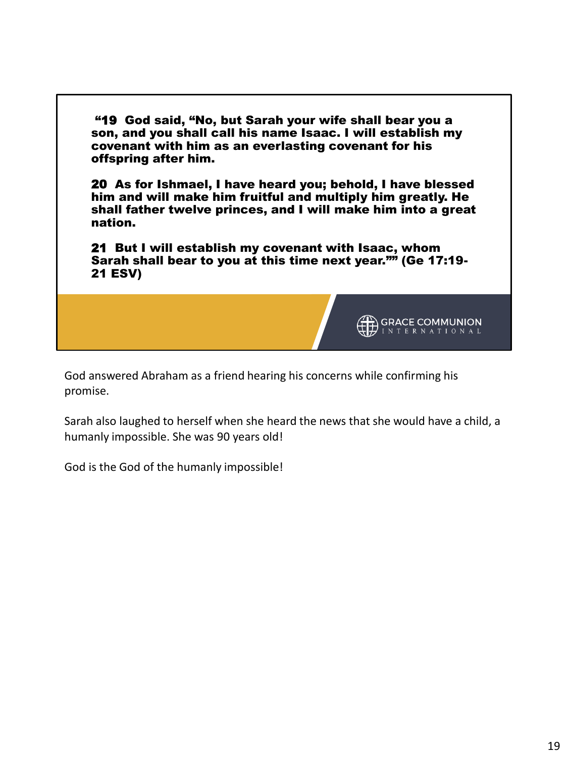

God answered Abraham as a friend hearing his concerns while confirming his promise.

Sarah also laughed to herself when she heard the news that she would have a child, a humanly impossible. She was 90 years old!

God is the God of the humanly impossible!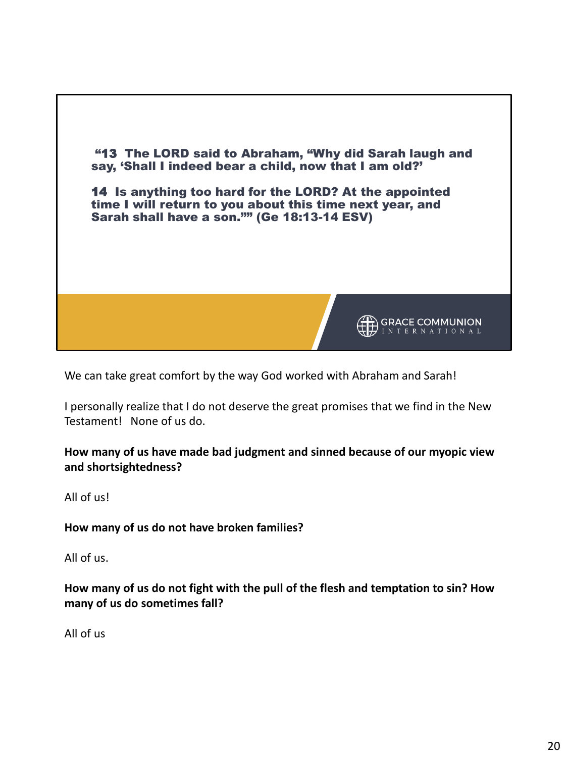

We can take great comfort by the way God worked with Abraham and Sarah!

I personally realize that I do not deserve the great promises that we find in the New Testament! None of us do.

**How many of us have made bad judgment and sinned because of our myopic view and shortsightedness?**

All of us!

**How many of us do not have broken families?**

All of us.

**How many of us do not fight with the pull of the flesh and temptation to sin? How many of us do sometimes fall?**

All of us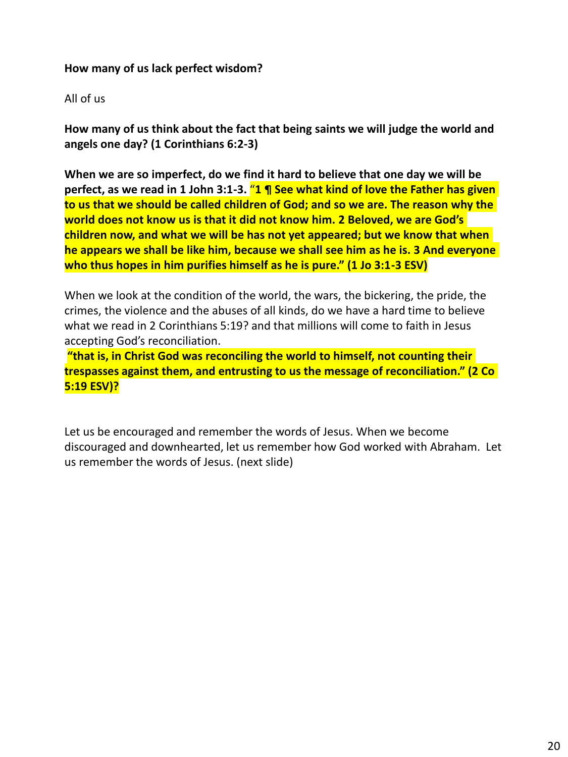## **How many of us lack perfect wisdom?**

## All of us

**How many of us think about the fact that being saints we will judge the world and angels one day? (1 Corinthians 6:2-3)**

**When we are so imperfect, do we find it hard to believe that one day we will be perfect, as we read in 1 John 3:1-3.** "**1 ¶ See what kind of love the Father has given to us that we should be called children of God; and so we are. The reason why the world does not know us is that it did not know him. 2 Beloved, we are God's children now, and what we will be has not yet appeared; but we know that when he appears we shall be like him, because we shall see him as he is. 3 And everyone who thus hopes in him purifies himself as he is pure." (1 Jo 3:1-3 ESV)**

When we look at the condition of the world, the wars, the bickering, the pride, the crimes, the violence and the abuses of all kinds, do we have a hard time to believe what we read in 2 Corinthians 5:19? and that millions will come to faith in Jesus accepting God's reconciliation.

**"that is, in Christ God was reconciling the world to himself, not counting their trespasses against them, and entrusting to us the message of reconciliation." (2 Co 5:19 ESV)?**

Let us be encouraged and remember the words of Jesus. When we become discouraged and downhearted, let us remember how God worked with Abraham. Let us remember the words of Jesus. (next slide)